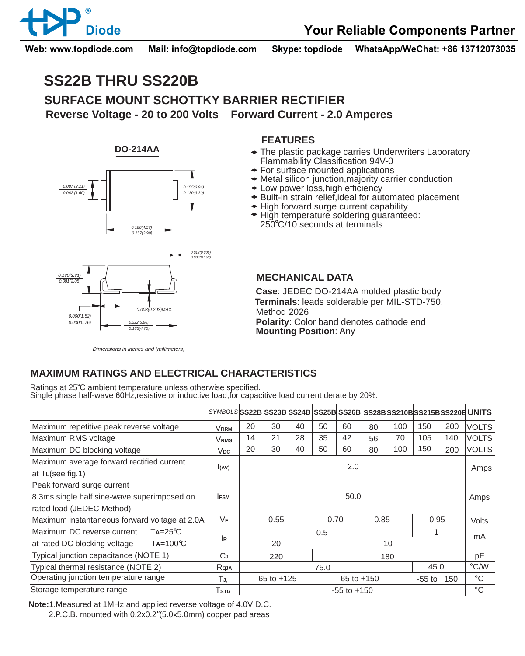

**Web: www.topdiode.com Mail: info@topdiode.com Skype: topdiode WhatsApp/WeChat: +86 13712073035**

# **SS22B THRU SS220B**

**SURFACE MOUNT SCHOTTKY BARRIER RECTIFIER Reverse Voltage - 20 to 200 Volts Forward Current - 2.0 Amperes**

**DO-214AA**



## **FEATURES**

- The plastic package carries Underwriters Laboratory Flammability Classification 94V-0
- **For surface mounted applications**
- Metal silicon junction,majority carrier conduction
- Low power loss,high efficiency
- Built-in strain relief,ideal for automated placement
- High forward surge current capability
- **← High temperature soldering guaranteed:**
- 250 C/10 seconds at terminals



*Dimensions in inches and (millimeters)*

#### **MECHANICAL DATA**

**Case**: JEDEC DO-214AA molded plastic body **Terminals**: leads solderable per MIL-STD-750, Method 2026 **Polarity**: Color band denotes cathode end **Mounting Position**: Any

## **MAXIMUM RATINGS AND ELECTRICAL CHARACTERISTICS**

Ratings at 25<sup>°</sup>C ambient temperature unless otherwise specified. Single phase half-wave 60Hz,resistive or inductive load,for capacitive load current derate by 20%.

|                                                               | SYMBOLS SS22B SS23B SS24B SS25B SS26B SS28B SS210B SS215B SS220B UNITS |                 |    |    |                 |    |      |     |                 |      |              |
|---------------------------------------------------------------|------------------------------------------------------------------------|-----------------|----|----|-----------------|----|------|-----|-----------------|------|--------------|
| Maximum repetitive peak reverse voltage                       | <b>VRRM</b>                                                            | 20              | 30 | 40 | 50              | 60 | 80   | 100 | 150             | 200  | <b>VOLTS</b> |
| Maximum RMS voltage                                           | <b>VRMS</b>                                                            | 14              | 21 | 28 | 35              | 42 | 56   | 70  | 105             | 140  | <b>VOLTS</b> |
| Maximum DC blocking voltage                                   | $V_{DC}$                                                               | 20              | 30 | 40 | 50              | 60 | 80   | 100 | 150             | 200  | <b>VOLTS</b> |
| Maximum average forward rectified current<br>at TL(see fig.1) | I(AV)                                                                  | 2.0             |    |    |                 |    |      |     |                 | Amps |              |
| Peak forward surge current                                    |                                                                        |                 |    |    |                 |    |      |     |                 |      |              |
| 8.3ms single half sine-wave superimposed on                   | <b>IFSM</b>                                                            | 50.0            |    |    |                 |    |      |     |                 |      | Amps         |
| rated load (JEDEC Method)                                     |                                                                        |                 |    |    |                 |    |      |     |                 |      |              |
| Maximum instantaneous forward voltage at 2.0A                 | VF                                                                     | 0.55            |    |    | 0.70            |    | 0.85 |     | 0.95            |      | Volts        |
| Maximum DC reverse current<br>$Ta = 25^{\circ}C$              |                                                                        | 0.5             |    |    |                 |    |      |     |                 |      | mA           |
| at rated DC blocking voltage<br>$Ta=100^{\circ}C$             | İR                                                                     | 20<br>10        |    |    |                 |    |      |     |                 |      |              |
| Typical junction capacitance (NOTE 1)                         | CJ                                                                     | 220             |    |    | 180             |    |      |     |                 |      | pF           |
| Typical thermal resistance (NOTE 2)                           | Rqja                                                                   | 45.0<br>75.0    |    |    |                 |    |      |     | °C/W            |      |              |
| Operating junction temperature range                          | TJ.                                                                    | $-65$ to $+125$ |    |    | $-65$ to $+150$ |    |      |     | $-55$ to $+150$ |      | °C           |
| Storage temperature range                                     | Tstg                                                                   | $-55$ to $+150$ |    |    |                 |    |      |     |                 | °C   |              |

**Note:**1.Measured at 1MHz and applied reverse voltage of 4.0V D.C.

2.P.C.B. mounted with 0.2x0.2"(5.0x5.0mm) copper pad areas